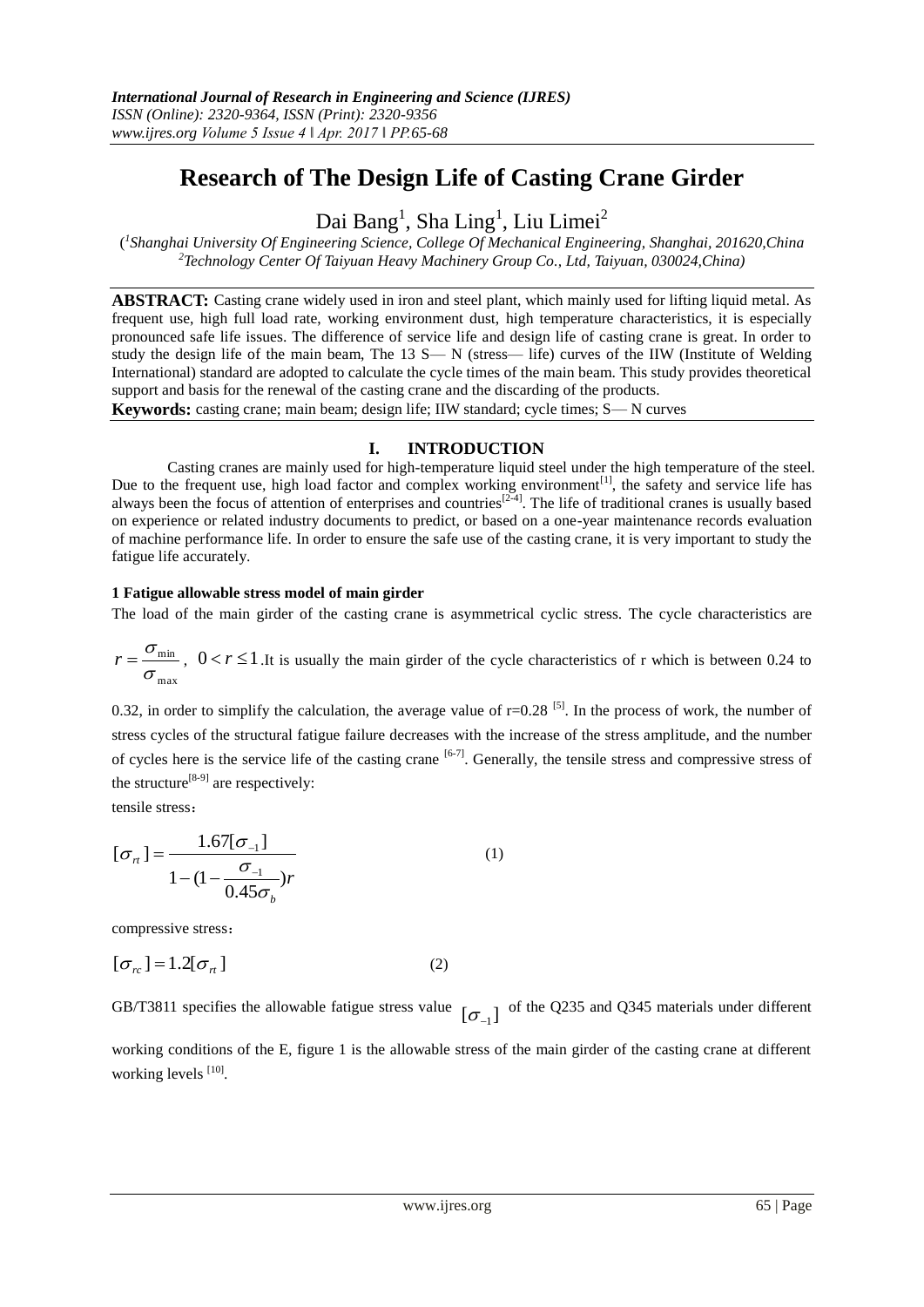# **Research of The Design Life of Casting Crane Girder**

Dai Bang<sup>1</sup>, Sha Ling<sup>1</sup>, Liu Limei<sup>2</sup>

( *1 Shanghai University Of Engineering Science, College Of Mechanical Engineering, Shanghai, 201620,China <sup>2</sup>Technology Center Of Taiyuan Heavy Machinery Group Co., Ltd, Taiyuan, 030024,China)*

**ABSTRACT:** Casting crane widely used in iron and steel plant, which mainly used for lifting liquid metal. As frequent use, high full load rate, working environment dust, high temperature characteristics, it is especially pronounced safe life issues. The difference of service life and design life of casting crane is great. In order to study the design life of the main beam, The 13 S— N (stress— life) curves of the IIW (Institute of Welding International) standard are adopted to calculate the cycle times of the main beam. This study provides theoretical support and basis for the renewal of the casting crane and the discarding of the products.

**Keywords:** casting crane; main beam; design life; IIW standard; cycle times; S— N curves

## **I. INTRODUCTION**

Casting cranes are mainly used for high-temperature liquid steel under the high temperature of the steel. Due to the frequent use, high load factor and complex working environment<sup>[1]</sup>, the safety and service life has always been the focus of attention of enterprises and countries<sup>[2-4]</sup>. The life of traditional cranes is usually based on experience or related industry documents to predict, or based on a one-year maintenance records evaluation of machine performance life. In order to ensure the safe use of the casting crane, it is very important to study the fatigue life accurately.

## **1 Fatigue allowable stress model of main girder**

The load of the main girder of the casting crane is asymmetrical cyclic stress. The cycle characteristics are

max min σ  $r = \frac{\sigma_{\min}}{2}$ ,  $0 < r \le 1$ . It is usually the main girder of the cycle characteristics of r which is between 0.24 to

0.32, in order to simplify the calculation, the average value of  $r=0.28$  [5]. In the process of work, the number of stress cycles of the structural fatigue failure decreases with the increase of the stress amplitude, and the number of cycles here is the service life of the casting crane  $[6-7]$ . Generally, the tensile stress and compressive stress of the structure<sup>[8-9]</sup> are respectively:

tensile stress:

$$
[\sigma_{rt}] = \frac{1.67[\sigma_{-1}]}{1 - (1 - \frac{\sigma_{-1}}{0.45\sigma_b})r}
$$
(1)

compressive stress:

$$
[\sigma_{rc}] = 1.2[\sigma_{rl}]
$$
 (2)

GB/T3811 specifies the allowable fatigue stress value  $[\sigma_{-1}]$  of the Q235 and Q345 materials under different working conditions of the E, figure 1 is the allowable stress of the main girder of the casting crane at different working levels [10].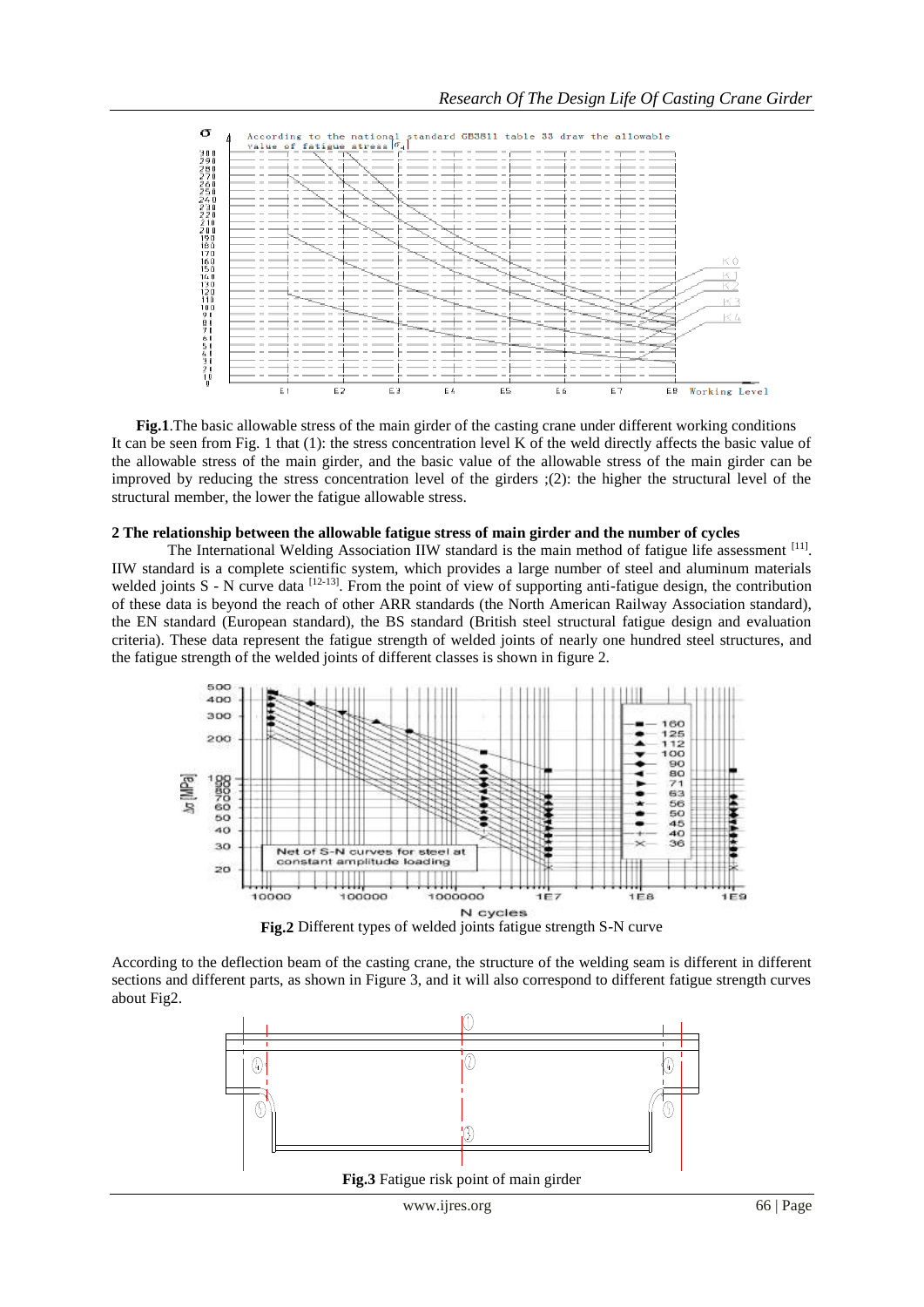

**Fig.1**.The basic allowable stress of the main girder of the casting crane under different working conditions It can be seen from Fig. 1 that (1): the stress concentration level K of the weld directly affects the basic value of the allowable stress of the main girder, and the basic value of the allowable stress of the main girder can be improved by reducing the stress concentration level of the girders ;(2): the higher the structural level of the structural member, the lower the fatigue allowable stress.

#### **2 The relationship between the allowable fatigue stress of main girder and the number of cycles**

The International Welding Association IIW standard is the main method of fatigue life assessment [11]. IIW standard is a complete scientific system, which provides a large number of steel and aluminum materials welded joints  $S$  - N curve data  $^{[12-13]}$ . From the point of view of supporting anti-fatigue design, the contribution of these data is beyond the reach of other ARR standards (the North American Railway Association standard), the EN standard (European standard), the BS standard (British steel structural fatigue design and evaluation criteria). These data represent the fatigue strength of welded joints of nearly one hundred steel structures, and the fatigue strength of the welded joints of different classes is shown in figure 2.



According to the deflection beam of the casting crane, the structure of the welding seam is different in different sections and different parts, as shown in Figure 3, and it will also correspond to different fatigue strength curves about Fig2.

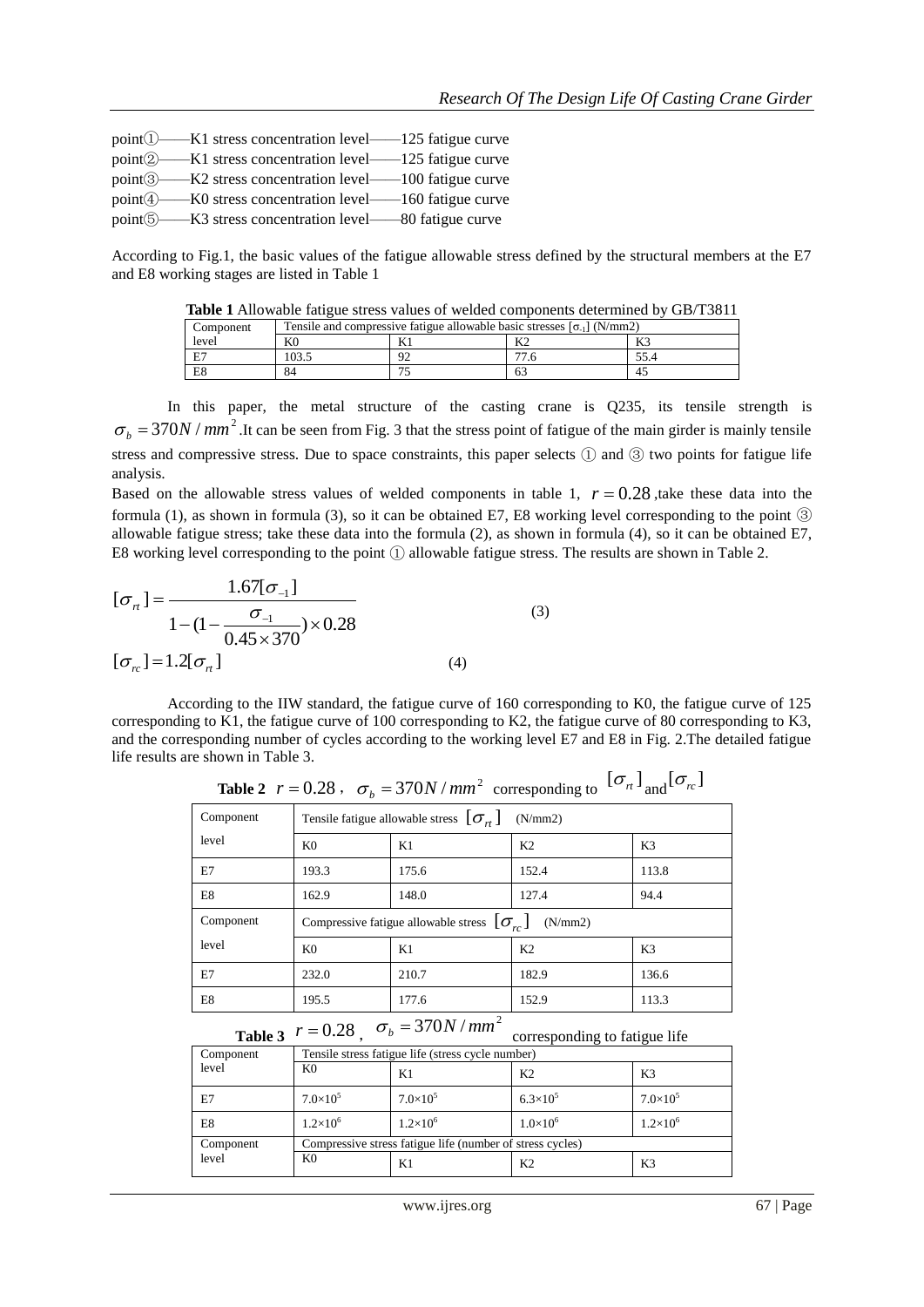| $point()$ $-K1$ stress concentration level $-125$ fatigue curve   |
|-------------------------------------------------------------------|
| point <b>2</b> ——K1 stress concentration level——125 fatigue curve |
| point 3—K2 stress concentration level—100 fatigue curve           |
| point 4—K0 stress concentration level—160 fatigue curve           |
| point 5—K3 stress concentration level—80 fatigue curve            |

According to Fig.1, the basic values of the fatigue allowable stress defined by the structural members at the E7 and E8 working stages are listed in Table 1

**Table 1** Allowable fatigue stress values of welded components determined by GB/T3811

| Component | Tensile and compressive fatigue allowable basic stresses $\lceil \sigma_{-1} \rceil$ (N/mm2) |   |    |       |
|-----------|----------------------------------------------------------------------------------------------|---|----|-------|
| level     | K <sub>0</sub>                                                                               | m |    | 17. . |
| E7        | 103.5                                                                                        |   |    |       |
| E8        | 84                                                                                           |   | 63 |       |

In this paper, the metal structure of the casting crane is Q235, its tensile strength is  $\sigma_b = 370N / mm^2$ . It can be seen from Fig. 3 that the stress point of fatigue of the main girder is mainly tensile stress and compressive stress. Due to space constraints, this paper selects ① and ③ two points for fatigue life analysis.

Based on the allowable stress values of welded components in table 1,  $r = 0.28$ , take these data into the formula (1), as shown in formula (3), so it can be obtained E7, E8 working level corresponding to the point ③ allowable fatigue stress; take these data into the formula (2), as shown in formula (4), so it can be obtained E7, E8 working level corresponding to the point ① allowable fatigue stress. The results are shown in Table 2.

$$
[\sigma_{n}] = \frac{1.67[\sigma_{-1}]}{1 - (1 - \frac{\sigma_{-1}}{0.45 \times 370}) \times 0.28}
$$
\n
$$
[\sigma_{n}] = 1.2[\sigma_{n}]
$$
\n(3)

According to the IIW standard, the fatigue curve of 160 corresponding to K0, the fatigue curve of 125 corresponding to K1, the fatigue curve of 100 corresponding to K2, the fatigue curve of 80 corresponding to K3, and the corresponding number of cycles according to the working level E7 and E8 in Fig. 2.The detailed fatigue life results are shown in Table 3.

| Component | Tensile fatigue allowable stress $[\sigma_{\mu}]$<br>(N/mm 2)  |       |                |                |
|-----------|----------------------------------------------------------------|-------|----------------|----------------|
| level     | K <sub>0</sub>                                                 | K1    | K <sub>2</sub> | K <sub>3</sub> |
| E7        | 193.3                                                          | 175.6 | 152.4          | 113.8          |
| E8        | 162.9                                                          | 148.0 | 127.4          | 94.4           |
| Component | Compressive fatigue allowable stress $[\sigma_{r}]$<br>(N/mm2) |       |                |                |
| level     | K <sub>0</sub>                                                 | K1    | K <sub>2</sub> | K3             |
| E7        | 232.0                                                          | 210.7 | 182.9          | 136.6          |
| E8        | 195.5                                                          | 177.6 | 152.9          | 113.3          |

**Table 2**  $r = 0.28$ ,  $\sigma_b = 370N / mm^2$  corresponding to  $[\sigma_n]$  and  $[\sigma_n]$ 

**Table 3**  $r = 0.28$ ,  $\sigma_b = 370N / mm^2$  corresponding to fatigue life

| Component | Tensile stress fatigue life (stress cycle number)         |                   |                   |                     |
|-----------|-----------------------------------------------------------|-------------------|-------------------|---------------------|
| level     | K <sub>0</sub>                                            | K1                | K <sub>2</sub>    | K3                  |
| E7        | $7.0\times10^{5}$                                         | $7.0\times10^{5}$ | $6.3\times10^{5}$ | $7.0 \times 10^{5}$ |
| E8        | $1.2\times10^{6}$                                         | $1.2\times10^{6}$ | $1.0\times10^{6}$ | $1.2\times10^{6}$   |
| Component | Compressive stress fatigue life (number of stress cycles) |                   |                   |                     |
| level     | K <sub>0</sub>                                            | K1                | K <sub>2</sub>    | K3                  |